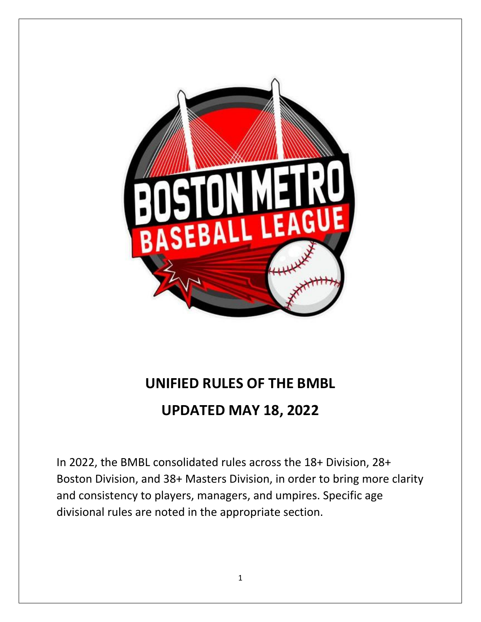

# **UNIFIED RULES OF THE BMBL**

## **UPDATED MAY 18, 2022**

In 2022, the BMBL consolidated rules across the 18+ Division, 28+ Boston Division, and 38+ Masters Division, in order to bring more clarity and consistency to players, managers, and umpires. Specific age divisional rules are noted in the appropriate section.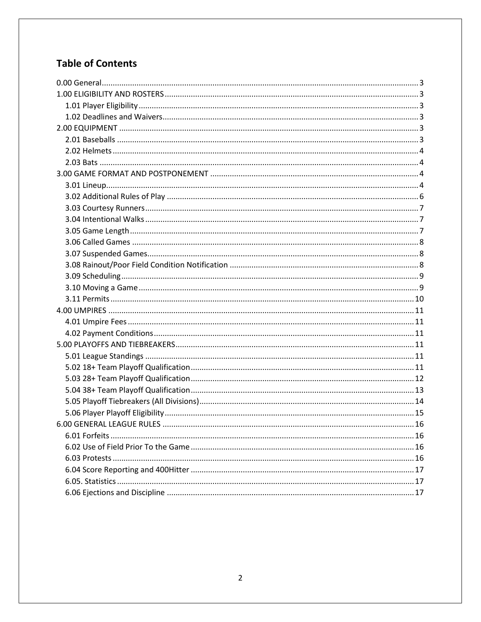## **Table of Contents**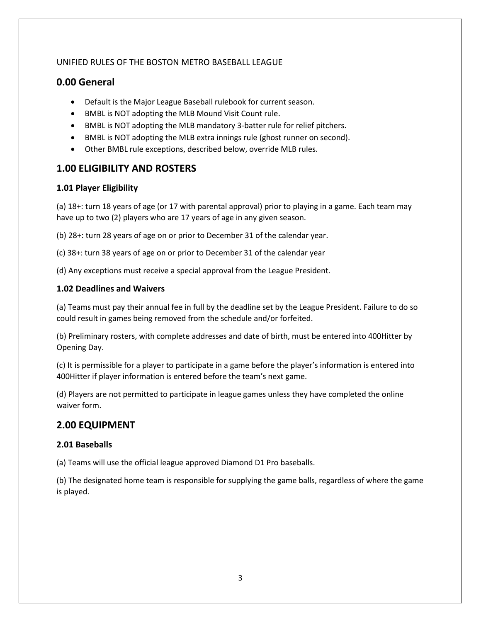#### UNIFIED RULES OF THE BOSTON METRO BASEBALL LEAGUE

### <span id="page-2-0"></span>**0.00 General**

- Default is the Major League Baseball rulebook for current season.
- BMBL is NOT adopting the MLB Mound Visit Count rule.
- BMBL is NOT adopting the MLB mandatory 3-batter rule for relief pitchers.
- BMBL is NOT adopting the MLB extra innings rule (ghost runner on second).
- Other BMBL rule exceptions, described below, override MLB rules.

### <span id="page-2-1"></span>**1.00 ELIGIBILITY AND ROSTERS**

#### <span id="page-2-2"></span>**1.01 Player Eligibility**

(a) 18+: turn 18 years of age (or 17 with parental approval) prior to playing in a game. Each team may have up to two (2) players who are 17 years of age in any given season.

(b) 28+: turn 28 years of age on or prior to December 31 of the calendar year.

(c) 38+: turn 38 years of age on or prior to December 31 of the calendar year

(d) Any exceptions must receive a special approval from the League President.

#### <span id="page-2-3"></span>**1.02 Deadlines and Waivers**

(a) Teams must pay their annual fee in full by the deadline set by the League President. Failure to do so could result in games being removed from the schedule and/or forfeited.

(b) Preliminary rosters, with complete addresses and date of birth, must be entered into 400Hitter by Opening Day.

(c) It is permissible for a player to participate in a game before the player's information is entered into 400Hitter if player information is entered before the team's next game.

(d) Players are not permitted to participate in league games unless they have completed the online waiver form.

## <span id="page-2-4"></span>**2.00 EQUIPMENT**

#### <span id="page-2-5"></span>**2.01 Baseballs**

(a) Teams will use the official league approved Diamond D1 Pro baseballs.

(b) The designated home team is responsible for supplying the game balls, regardless of where the game is played.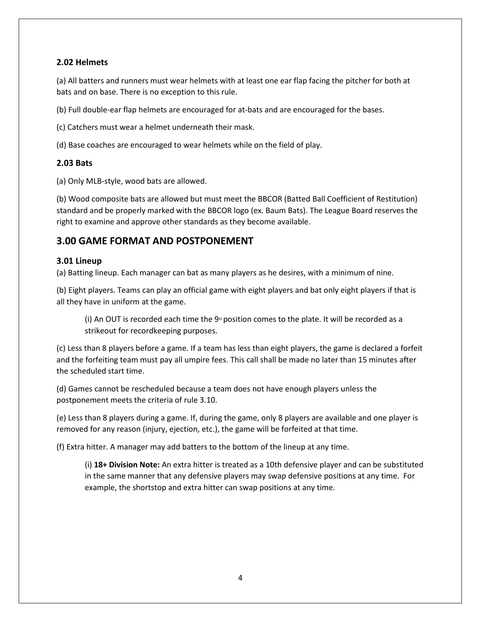#### <span id="page-3-0"></span>**2.02 Helmets**

(a) All batters and runners must wear helmets with at least one ear flap facing the pitcher for both at bats and on base. There is no exception to this rule.

(b) Full double‐ear flap helmets are encouraged for at-bats and are encouraged for the bases.

(c) Catchers must wear a helmet underneath their mask.

(d) Base coaches are encouraged to wear helmets while on the field of play.

#### <span id="page-3-1"></span>**2.03 Bats**

(a) Only MLB‐style, wood bats are allowed.

(b) Wood composite bats are allowed but must meet the BBCOR (Batted Ball Coefficient of Restitution) standard and be properly marked with the BBCOR logo (ex. Baum Bats). The League Board reserves the right to examine and approve other standards as they become available.

## <span id="page-3-2"></span>**3.00 GAME FORMAT AND POSTPONEMENT**

#### <span id="page-3-3"></span>**3.01 Lineup**

(a) Batting lineup. Each manager can bat as many players as he desires, with a minimum of nine.

(b) Eight players. Teams can play an official game with eight players and bat only eight players if that is all they have in uniform at the game.

(i) An OUT is recorded each time the  $9<sup>th</sup>$  position comes to the plate. It will be recorded as a strikeout for recordkeeping purposes.

(c) Less than 8 players before a game. If a team has less than eight players, the game is declared a forfeit and the forfeiting team must pay all umpire fees. This call shall be made no later than 15 minutes after the scheduled start time.

(d) Games cannot be rescheduled because a team does not have enough players unless the postponement meets the criteria of rule 3.10.

(e) Less than 8 players during a game. If, during the game, only 8 players are available and one player is removed for any reason (injury, ejection, etc.), the game will be forfeited at that time.

(f) Extra hitter. A manager may add batters to the bottom of the lineup at any time.

(i) **18+ Division Note:** An extra hitter is treated as a 10th defensive player and can be substituted in the same manner that any defensive players may swap defensive positions at any time. For example, the shortstop and extra hitter can swap positions at any time.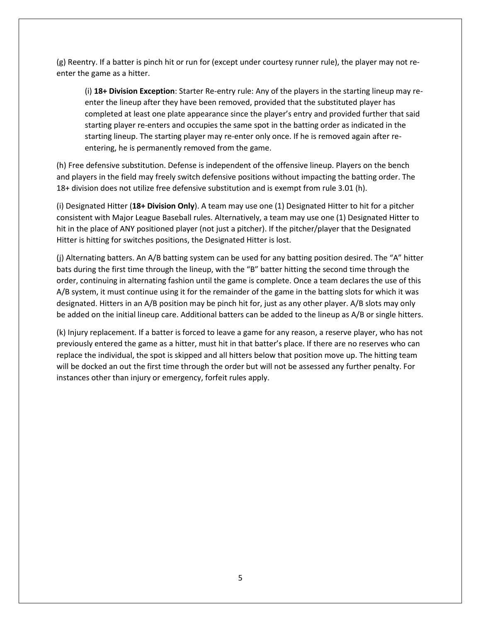(g) Reentry. If a batter is pinch hit or run for (except under courtesy runner rule), the player may not re‐ enter the game as a hitter.

(i) **18+ Division Exception**: Starter Re-entry rule: Any of the players in the starting lineup may reenter the lineup after they have been removed, provided that the substituted player has completed at least one plate appearance since the player's entry and provided further that said starting player re-enters and occupies the same spot in the batting order as indicated in the starting lineup. The starting player may re-enter only once. If he is removed again after reentering, he is permanently removed from the game.

(h) Free defensive substitution. Defense is independent of the offensive lineup. Players on the bench and players in the field may freely switch defensive positions without impacting the batting order. The 18+ division does not utilize free defensive substitution and is exempt from rule 3.01 (h).

(i) Designated Hitter (**18+ Division Only**). A team may use one (1) Designated Hitter to hit for a pitcher consistent with Major League Baseball rules. Alternatively, a team may use one (1) Designated Hitter to hit in the place of ANY positioned player (not just a pitcher). If the pitcher/player that the Designated Hitter is hitting for switches positions, the Designated Hitter is lost.

(j) Alternating batters. An A/B batting system can be used for any batting position desired. The "A" hitter bats during the first time through the lineup, with the "B" batter hitting the second time through the order, continuing in alternating fashion until the game is complete. Once a team declares the use of this A/B system, it must continue using it for the remainder of the game in the batting slots for which it was designated. Hitters in an A/B position may be pinch hit for, just as any other player. A/B slots may only be added on the initial lineup care. Additional batters can be added to the lineup as A/B or single hitters.

(k) Injury replacement. If a batter is forced to leave a game for any reason, a reserve player, who has not previously entered the game as a hitter, must hit in that batter's place. If there are no reserves who can replace the individual, the spot is skipped and all hitters below that position move up. The hitting team will be docked an out the first time through the order but will not be assessed any further penalty. For instances other than injury or emergency, forfeit rules apply.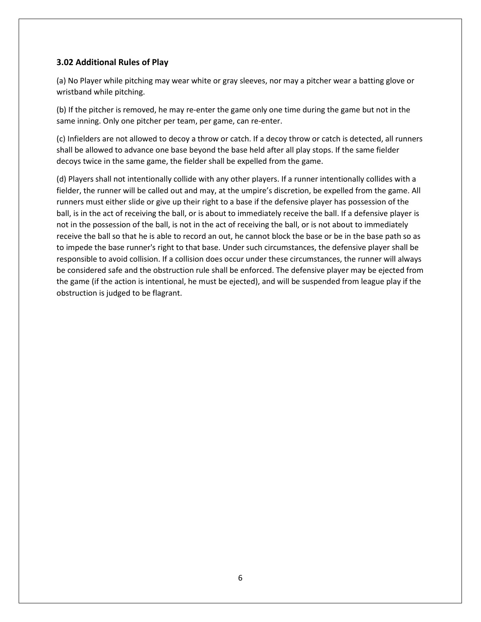#### <span id="page-5-0"></span>**3.02 Additional Rules of Play**

(a) No Player while pitching may wear white or gray sleeves, nor may a pitcher wear a batting glove or wristband while pitching.

(b) If the pitcher is removed, he may re‐enter the game only one time during the game but not in the same inning. Only one pitcher per team, per game, can re-enter.

(c) Infielders are not allowed to decoy a throw or catch. If a decoy throw or catch is detected, all runners shall be allowed to advance one base beyond the base held after all play stops. If the same fielder decoys twice in the same game, the fielder shall be expelled from the game.

(d) Players shall not intentionally collide with any other players. If a runner intentionally collides with a fielder, the runner will be called out and may, at the umpire's discretion, be expelled from the game. All runners must either slide or give up their right to a base if the defensive player has possession of the ball, is in the act of receiving the ball, or is about to immediately receive the ball. If a defensive player is not in the possession of the ball, is not in the act of receiving the ball, or is not about to immediately receive the ball so that he is able to record an out, he cannot block the base or be in the base path so as to impede the base runner's right to that base. Under such circumstances, the defensive player shall be responsible to avoid collision. If a collision does occur under these circumstances, the runner will always be considered safe and the obstruction rule shall be enforced. The defensive player may be ejected from the game (if the action is intentional, he must be ejected), and will be suspended from league play if the obstruction is judged to be flagrant.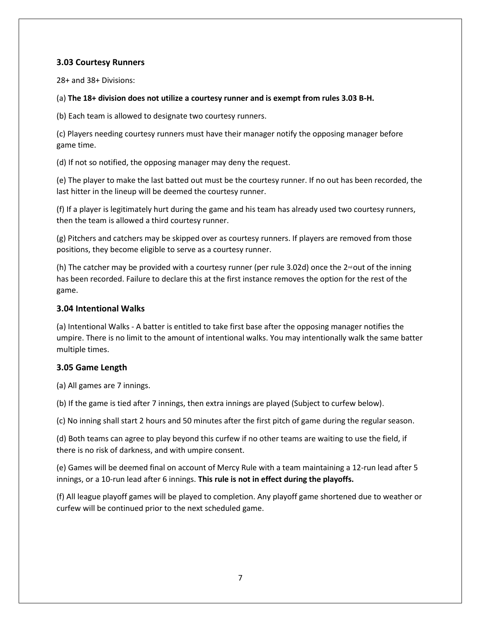#### <span id="page-6-0"></span>**3.03 Courtesy Runners**

28+ and 38+ Divisions:

#### (a) **The 18+ division does not utilize a courtesy runner and is exempt from rules 3.03 B-H.**

(b) Each team is allowed to designate two courtesy runners.

(c) Players needing courtesy runners must have their manager notify the opposing manager before game time.

(d) If not so notified, the opposing manager may deny the request.

(e) The player to make the last batted out must be the courtesy runner. If no out has been recorded, the last hitter in the lineup will be deemed the courtesy runner.

(f) If a player is legitimately hurt during the game and his team has already used two courtesy runners, then the team is allowed a third courtesy runner.

(g) Pitchers and catchers may be skipped over as courtesy runners. If players are removed from those positions, they become eligible to serve as a courtesy runner.

(h) The catcher may be provided with a courtesy runner (per rule 3.02d) once the  $2^{nd}$ out of the inning has been recorded. Failure to declare this at the first instance removes the option for the rest of the game.

#### <span id="page-6-1"></span>**3.04 Intentional Walks**

(a) Intentional Walks ‐ A batter is entitled to take first base after the opposing manager notifies the umpire. There is no limit to the amount of intentional walks. You may intentionally walk the same batter multiple times.

#### <span id="page-6-2"></span>**3.05 Game Length**

(a) All games are 7 innings.

(b) If the game is tied after 7 innings, then extra innings are played (Subject to curfew below).

(c) No inning shall start 2 hours and 50 minutes after the first pitch of game during the regular season.

(d) Both teams can agree to play beyond this curfew if no other teams are waiting to use the field, if there is no risk of darkness, and with umpire consent.

(e) Games will be deemed final on account of Mercy Rule with a team maintaining a 12‐run lead after 5 innings, or a 10‐run lead after 6 innings. **This rule is not in effect during the playoffs.**

(f) All league playoff games will be played to completion. Any playoff game shortened due to weather or curfew will be continued prior to the next scheduled game.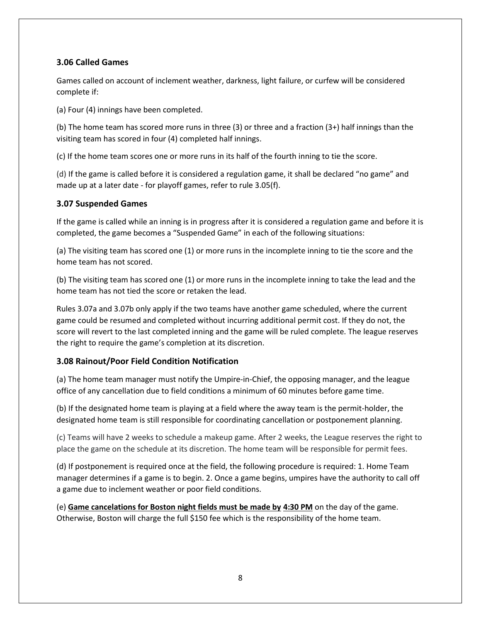#### <span id="page-7-0"></span>**3.06 Called Games**

Games called on account of inclement weather, darkness, light failure, or curfew will be considered complete if:

(a) Four (4) innings have been completed.

(b) The home team has scored more runs in three (3) or three and a fraction (3+) half innings than the visiting team has scored in four (4) completed half innings.

(c) If the home team scores one or more runs in its half of the fourth inning to tie the score.

(d) If the game is called before it is considered a regulation game, it shall be declared "no game" and made up at a later date - for playoff games, refer to rule 3.05(f).

#### <span id="page-7-1"></span>**3.07 Suspended Games**

If the game is called while an inning is in progress after it is considered a regulation game and before it is completed, the game becomes a "Suspended Game" in each of the following situations:

(a) The visiting team has scored one (1) or more runs in the incomplete inning to tie the score and the home team has not scored.

(b) The visiting team has scored one (1) or more runs in the incomplete inning to take the lead and the home team has not tied the score or retaken the lead.

Rules 3.07a and 3.07b only apply if the two teams have another game scheduled, where the current game could be resumed and completed without incurring additional permit cost. If they do not, the score will revert to the last completed inning and the game will be ruled complete. The league reserves the right to require the game's completion at its discretion.

#### <span id="page-7-2"></span>**3.08 Rainout/Poor Field Condition Notification**

(a) The home team manager must notify the Umpire‐in‐Chief, the opposing manager, and the league office of any cancellation due to field conditions a minimum of 60 minutes before game time.

(b) If the designated home team is playing at a field where the away team is the permit‐holder, the designated home team is still responsible for coordinating cancellation or postponement planning.

(c) Teams will have 2 weeks to schedule a makeup game. After 2 weeks, the League reserves the right to place the game on the schedule at its discretion. The home team will be responsible for permit fees.

(d) If postponement is required once at the field, the following procedure is required: 1. Home Team manager determines if a game is to begin. 2. Once a game begins, umpires have the authority to call off a game due to inclement weather or poor field conditions.

(e) **Game cancelations for Boston night fields must be made by 4:30 PM** on the day of the game. Otherwise, Boston will charge the full \$150 fee which is the responsibility of the home team.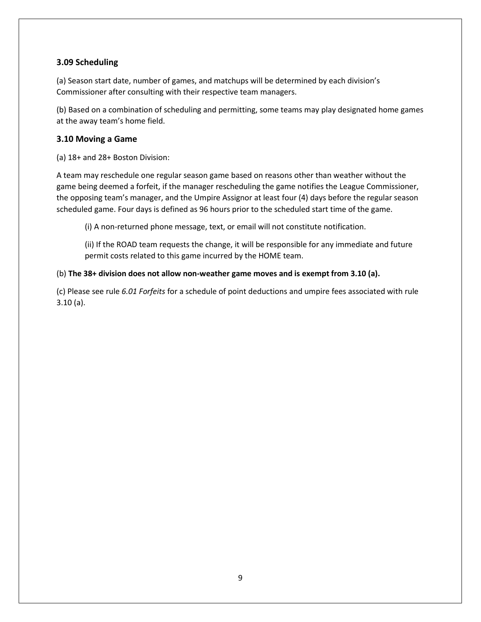#### <span id="page-8-0"></span>**3.09 Scheduling**

(a) Season start date, number of games, and matchups will be determined by each division's Commissioner after consulting with their respective team managers.

(b) Based on a combination of scheduling and permitting, some teams may play designated home games at the away team's home field.

#### <span id="page-8-1"></span>**3.10 Moving a Game**

(a) 18+ and 28+ Boston Division:

A team may reschedule one regular season game based on reasons other than weather without the game being deemed a forfeit, if the manager rescheduling the game notifies the League Commissioner, the opposing team's manager, and the Umpire Assignor at least four (4) days before the regular season scheduled game. Four days is defined as 96 hours prior to the scheduled start time of the game.

(i) A non‐returned phone message, text, or email will not constitute notification.

(ii) If the ROAD team requests the change, it will be responsible for any immediate and future permit costs related to this game incurred by the HOME team.

#### (b) **The 38+ division does not allow non-weather game moves and is exempt from 3.10 (a).**

(c) Please see rule *6.01 Forfeits* for a schedule of point deductions and umpire fees associated with rule 3.10 (a).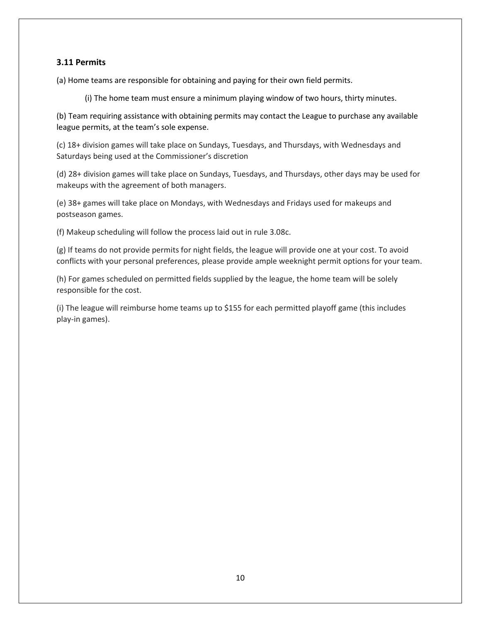#### <span id="page-9-0"></span>**3.11 Permits**

(a) Home teams are responsible for obtaining and paying for their own field permits.

(i) The home team must ensure a minimum playing window of two hours, thirty minutes.

(b) Team requiring assistance with obtaining permits may contact the League to purchase any available league permits, at the team's sole expense.

(c) 18+ division games will take place on Sundays, Tuesdays, and Thursdays, with Wednesdays and Saturdays being used at the Commissioner's discretion

(d) 28+ division games will take place on Sundays, Tuesdays, and Thursdays, other days may be used for makeups with the agreement of both managers.

(e) 38+ games will take place on Mondays, with Wednesdays and Fridays used for makeups and postseason games.

(f) Makeup scheduling will follow the process laid out in rule 3.08c.

(g) If teams do not provide permits for night fields, the league will provide one at your cost. To avoid conflicts with your personal preferences, please provide ample weeknight permit options for your team.

(h) For games scheduled on permitted fields supplied by the league, the home team will be solely responsible for the cost.

(i) The league will reimburse home teams up to \$155 for each permitted playoff game (this includes play-in games).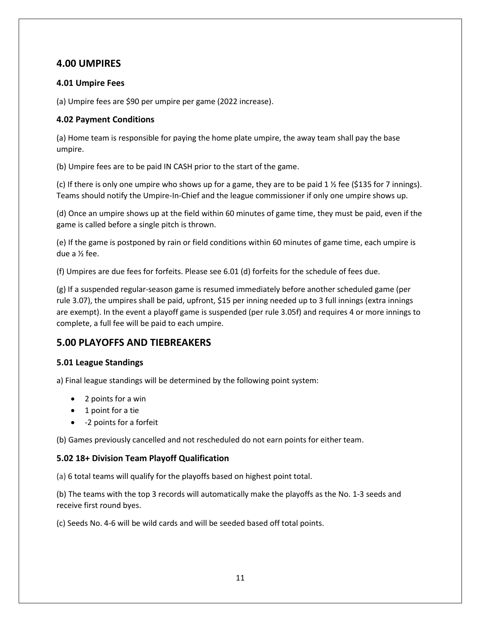## <span id="page-10-0"></span>**4.00 UMPIRES**

#### <span id="page-10-1"></span>**4.01 Umpire Fees**

(a) Umpire fees are \$90 per umpire per game (2022 increase).

#### <span id="page-10-2"></span>**4.02 Payment Conditions**

(a) Home team is responsible for paying the home plate umpire, the away team shall pay the base umpire.

(b) Umpire fees are to be paid IN CASH prior to the start of the game.

(c) If there is only one umpire who shows up for a game, they are to be paid 1  $\frac{1}{2}$  fee (\$135 for 7 innings). Teams should notify the Umpire-In-Chief and the league commissioner if only one umpire shows up.

(d) Once an umpire shows up at the field within 60 minutes of game time, they must be paid, even if the game is called before a single pitch is thrown.

(e) If the game is postponed by rain or field conditions within 60 minutes of game time, each umpire is due a ½ fee.

(f) Umpires are due fees for forfeits. Please see 6.01 (d) forfeits for the schedule of fees due.

(g) If a suspended regular-season game is resumed immediately before another scheduled game (per rule 3.07), the umpires shall be paid, upfront, \$15 per inning needed up to 3 full innings (extra innings are exempt). In the event a playoff game is suspended (per rule 3.05f) and requires 4 or more innings to complete, a full fee will be paid to each umpire.

## <span id="page-10-3"></span>**5.00 PLAYOFFS AND TIEBREAKERS**

#### <span id="page-10-4"></span>**5.01 League Standings**

a) Final league standings will be determined by the following point system:

- 2 points for a win
- 1 point for a tie
- ‐2 points for a forfeit

(b) Games previously cancelled and not rescheduled do not earn points for either team.

#### <span id="page-10-5"></span>**5.02 18+ Division Team Playoff Qualification**

(a) 6 total teams will qualify for the playoffs based on highest point total.

(b) The teams with the top 3 records will automatically make the playoffs as the No. 1-3 seeds and receive first round byes.

(c) Seeds No. 4-6 will be wild cards and will be seeded based off total points.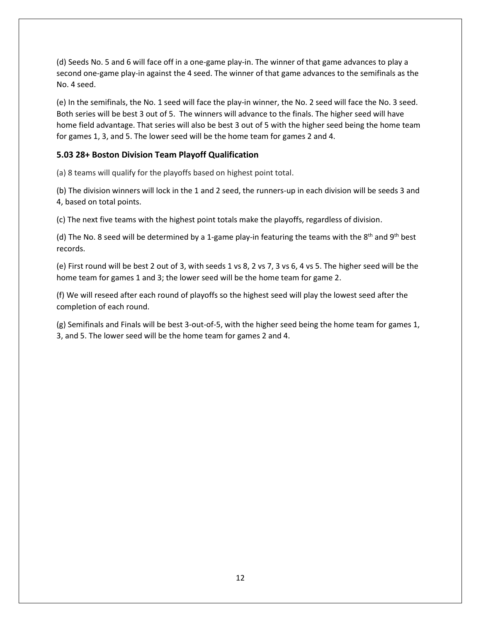(d) Seeds No. 5 and 6 will face off in a one-game play-in. The winner of that game advances to play a second one-game play-in against the 4 seed. The winner of that game advances to the semifinals as the No. 4 seed.

(e) In the semifinals, the No. 1 seed will face the play-in winner, the No. 2 seed will face the No. 3 seed. Both series will be best 3 out of 5. The winners will advance to the finals. The higher seed will have home field advantage. That series will also be best 3 out of 5 with the higher seed being the home team for games 1, 3, and 5. The lower seed will be the home team for games 2 and 4.

#### <span id="page-11-0"></span>**5.03 28+ Boston Division Team Playoff Qualification**

(a) 8 teams will qualify for the playoffs based on highest point total.

(b) The division winners will lock in the 1 and 2 seed, the runners-up in each division will be seeds 3 and 4, based on total points.

(c) The next five teams with the highest point totals make the playoffs, regardless of division.

(d) The No. 8 seed will be determined by a 1-game play-in featuring the teams with the  $8<sup>th</sup>$  and  $9<sup>th</sup>$  best records.

(e) First round will be best 2 out of 3, with seeds 1 vs 8, 2 vs 7, 3 vs 6, 4 vs 5. The higher seed will be the home team for games 1 and 3; the lower seed will be the home team for game 2.

(f) We will reseed after each round of playoffs so the highest seed will play the lowest seed after the completion of each round.

(g) Semifinals and Finals will be best 3-out-of-5, with the higher seed being the home team for games 1, 3, and 5. The lower seed will be the home team for games 2 and 4.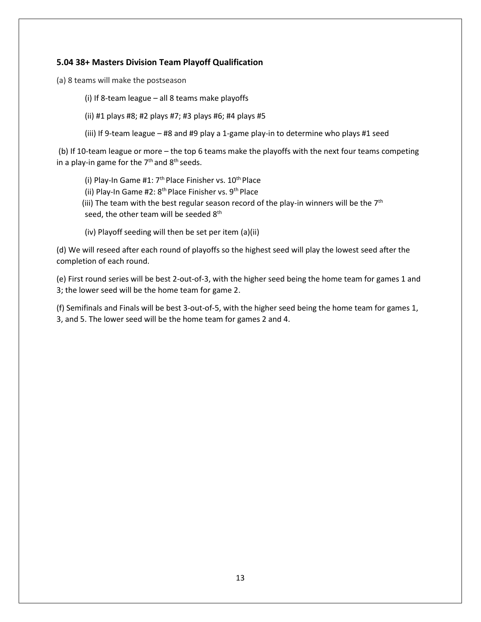#### <span id="page-12-0"></span>**5.04 38+ Masters Division Team Playoff Qualification**

(a) 8 teams will make the postseason

- (i) If 8-team league all 8 teams make playoffs
- (ii) #1 plays #8; #2 plays #7; #3 plays #6; #4 plays #5
- (iii) If 9-team league #8 and #9 play a 1-game play-in to determine who plays #1 seed

(b) If 10-team league or more – the top 6 teams make the playoffs with the next four teams competing in a play-in game for the  $7<sup>th</sup>$  and  $8<sup>th</sup>$  seeds.

- (i) Play-In Game #1:  $7<sup>th</sup>$  Place Finisher vs.  $10<sup>th</sup>$  Place
- (ii) Play-In Game #2: 8<sup>th</sup> Place Finisher vs. 9<sup>th</sup> Place
- (iii) The team with the best regular season record of the play-in winners will be the  $7<sup>th</sup>$ seed, the other team will be seeded 8<sup>th</sup>
- (iv) Playoff seeding will then be set per item (a)(ii)

(d) We will reseed after each round of playoffs so the highest seed will play the lowest seed after the completion of each round.

(e) First round series will be best 2-out-of-3, with the higher seed being the home team for games 1 and 3; the lower seed will be the home team for game 2.

(f) Semifinals and Finals will be best 3-out-of-5, with the higher seed being the home team for games 1, 3, and 5. The lower seed will be the home team for games 2 and 4.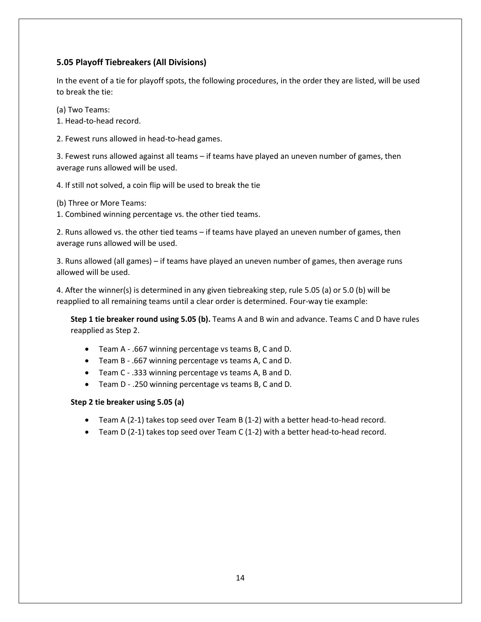#### <span id="page-13-0"></span>**5.05 Playoff Tiebreakers (All Divisions)**

In the event of a tie for playoff spots, the following procedures, in the order they are listed, will be used to break the tie:

(a) Two Teams:

1. Head-to-head record.

2. Fewest runs allowed in head-to-head games.

3. Fewest runs allowed against all teams – if teams have played an uneven number of games, then average runs allowed will be used.

4. If still not solved, a coin flip will be used to break the tie

(b) Three or More Teams:

1. Combined winning percentage vs. the other tied teams.

2. Runs allowed vs. the other tied teams – if teams have played an uneven number of games, then average runs allowed will be used.

3. Runs allowed (all games) – if teams have played an uneven number of games, then average runs allowed will be used.

4. After the winner(s) is determined in any given tiebreaking step, rule 5.05 (a) or 5.0 (b) will be reapplied to all remaining teams until a clear order is determined. Four-way tie example:

**Step 1 tie breaker round using 5.05 (b).** Teams A and B win and advance. Teams C and D have rules reapplied as Step 2.

- Team A .667 winning percentage vs teams B, C and D.
- Team B .667 winning percentage vs teams A, C and D.
- Team C .333 winning percentage vs teams A, B and D.
- Team D .250 winning percentage vs teams B, C and D.

**Step 2 tie breaker using 5.05 (a)**

- Team A (2-1) takes top seed over Team B (1-2) with a better head-to-head record.
- Team D (2-1) takes top seed over Team C (1-2) with a better head-to-head record.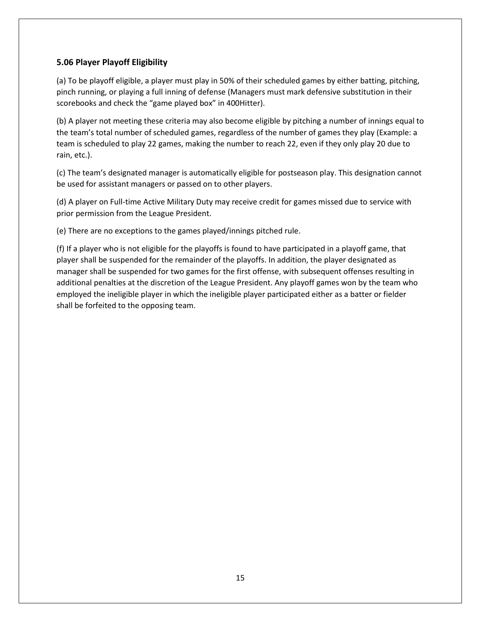#### <span id="page-14-0"></span>**5.06 Player Playoff Eligibility**

(a) To be playoff eligible, a player must play in 50% of their scheduled games by either batting, pitching, pinch running, or playing a full inning of defense (Managers must mark defensive substitution in their scorebooks and check the "game played box" in 400Hitter).

(b) A player not meeting these criteria may also become eligible by pitching a number of innings equal to the team's total number of scheduled games, regardless of the number of games they play (Example: a team is scheduled to play 22 games, making the number to reach 22, even if they only play 20 due to rain, etc.).

(c) The team's designated manager is automatically eligible for postseason play. This designation cannot be used for assistant managers or passed on to other players.

(d) A player on Full-time Active Military Duty may receive credit for games missed due to service with prior permission from the League President.

(e) There are no exceptions to the games played/innings pitched rule.

(f) If a player who is not eligible for the playoffs is found to have participated in a playoff game, that player shall be suspended for the remainder of the playoffs. In addition, the player designated as manager shall be suspended for two games for the first offense, with subsequent offenses resulting in additional penalties at the discretion of the League President. Any playoff games won by the team who employed the ineligible player in which the ineligible player participated either as a batter or fielder shall be forfeited to the opposing team.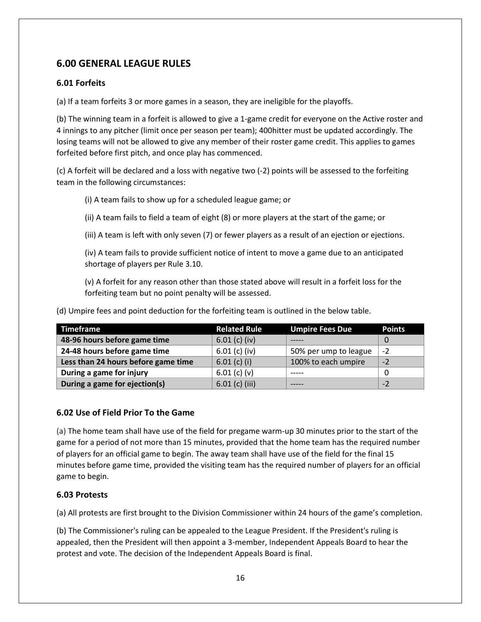## <span id="page-15-0"></span>**6.00 GENERAL LEAGUE RULES**

#### <span id="page-15-1"></span>**6.01 Forfeits**

(a) If a team forfeits 3 or more games in a season, they are ineligible for the playoffs.

(b) The winning team in a forfeit is allowed to give a 1-game credit for everyone on the Active roster and 4 innings to any pitcher (limit once per season per team); 400hitter must be updated accordingly. The losing teams will not be allowed to give any member of their roster game credit. This applies to games forfeited before first pitch, and once play has commenced.

(c) A forfeit will be declared and a loss with negative two (‐2) points will be assessed to the forfeiting team in the following circumstances:

(i) A team fails to show up for a scheduled league game; or

(ii) A team fails to field a team of eight (8) or more players at the start of the game; or

(iii) A team is left with only seven (7) or fewer players as a result of an ejection or ejections.

(iv) A team fails to provide sufficient notice of intent to move a game due to an anticipated shortage of players per Rule 3.10.

(v) A forfeit for any reason other than those stated above will result in a forfeit loss for the forfeiting team but no point penalty will be assessed.

(d) Umpire fees and point deduction for the forfeiting team is outlined in the below table.

| <b>Timeframe</b>                    | <b>Related Rule</b> | <b>Umpire Fees Due</b> | <b>Points</b> |
|-------------------------------------|---------------------|------------------------|---------------|
| 48-96 hours before game time        | $6.01$ (c) (iv)     |                        |               |
| 24-48 hours before game time        | $6.01$ (c) (iv)     | 50% per ump to league  | $-2$          |
| Less than 24 hours before game time | $6.01$ (c) (i)      | 100% to each umpire    | $-2$          |
| During a game for injury            | $6.01$ (c) (v)      |                        |               |
| During a game for ejection(s)       | $6.01$ (c) (iii)    |                        | $-2$          |

#### <span id="page-15-2"></span>**6.02 Use of Field Prior To the Game**

(a) The home team shall have use of the field for pregame warm‐up 30 minutes prior to the start of the game for a period of not more than 15 minutes, provided that the home team has the required number of players for an official game to begin. The away team shall have use of the field for the final 15 minutes before game time, provided the visiting team has the required number of players for an official game to begin.

#### <span id="page-15-3"></span>**6.03 Protests**

(a) All protests are first brought to the Division Commissioner within 24 hours of the game's completion.

(b) The Commissioner's ruling can be appealed to the League President. If the President's ruling is appealed, then the President will then appoint a 3-member, Independent Appeals Board to hear the protest and vote. The decision of the Independent Appeals Board is final.